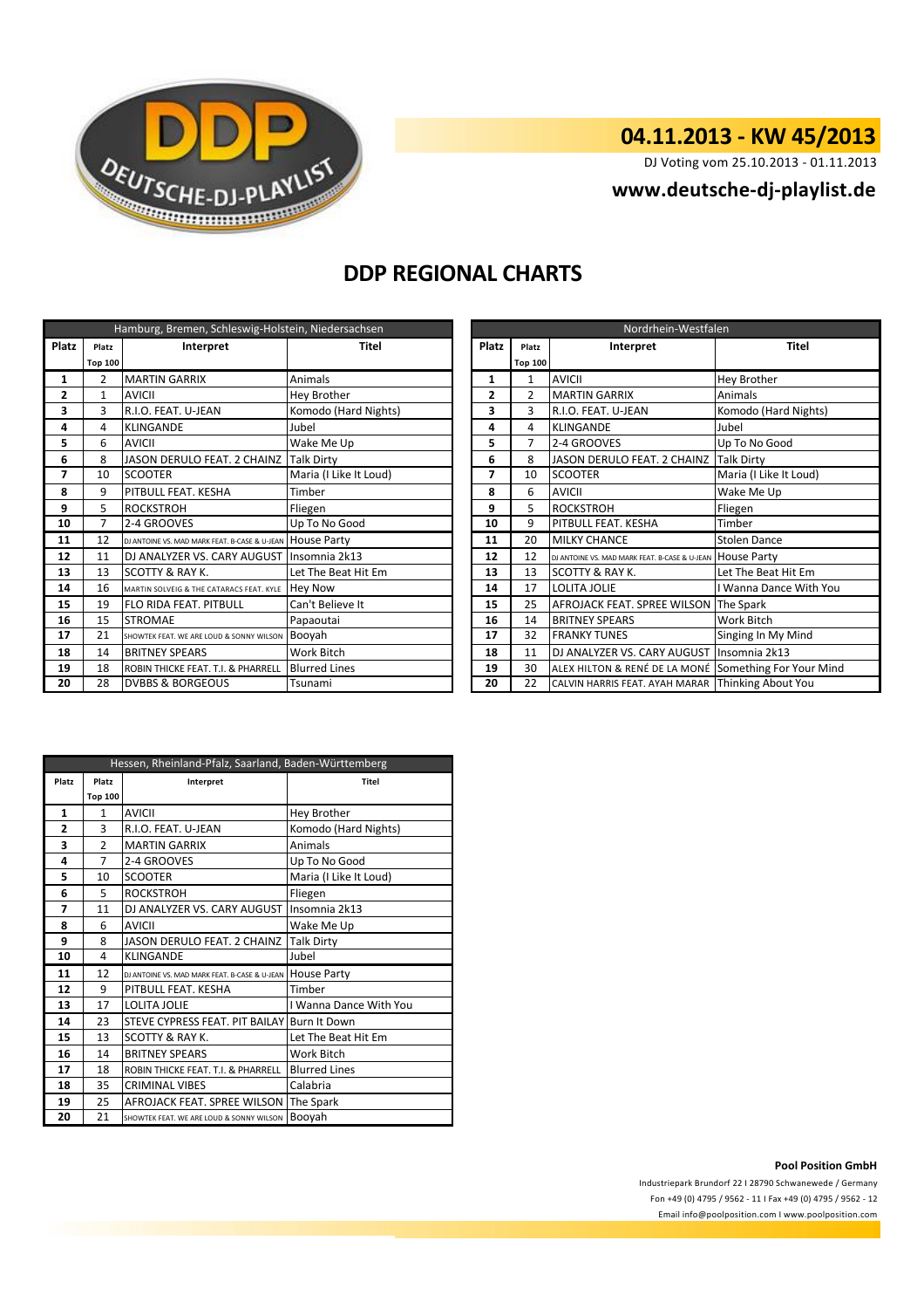

## **04.11.2013 - KW 45/2013**

DJ Voting vom 25.10.2013 - 01.11.2013

### **<www.deutsche-dj-playlist.de>**

## **DDP REGIONAL CHARTS**

| Hamburg, Bremen, Schleswig-Holstein, Niedersachsen |                |                                                           |                        | Nordrhein-Westfalen |                |                                                       |                        |  |
|----------------------------------------------------|----------------|-----------------------------------------------------------|------------------------|---------------------|----------------|-------------------------------------------------------|------------------------|--|
| Platz                                              | Platz          | Interpret                                                 | Platz<br>Titel         |                     | Platz          | Interpret                                             | <b>Titel</b>           |  |
|                                                    | <b>Top 100</b> |                                                           |                        |                     | <b>Top 100</b> |                                                       |                        |  |
| 1                                                  | 2              | <b>MARTIN GARRIX</b>                                      | Animals                | 1                   |                | <b>AVICII</b>                                         | <b>Hey Brother</b>     |  |
| 2                                                  | 1              | <b>AVICII</b>                                             | Hey Brother            | $\mathbf{2}$        | $\overline{2}$ | <b>MARTIN GARRIX</b>                                  | Animals                |  |
| з                                                  | з              | R.I.O. FEAT. U-JEAN                                       | Komodo (Hard Nights)   | 3                   | 3              | R.I.O. FEAT. U-JEAN                                   | Komodo (Hard Nights)   |  |
| 4                                                  | 4              | <b>KLINGANDE</b>                                          | Jubel                  | 4                   | 4              | <b>KLINGANDE</b>                                      | Jubel                  |  |
| 5.                                                 | 6              | <b>AVICII</b>                                             | Wake Me Up             | 5                   | 7              | 2-4 GROOVES                                           | Up To No Good          |  |
| 6                                                  | 8              | JASON DERULO FEAT. 2 CHAINZ                               | <b>Talk Dirty</b>      | 6                   | 8              | JASON DERULO FEAT. 2 CHAINZ                           | <b>Talk Dirty</b>      |  |
| 7                                                  | 10             | <b>SCOOTER</b>                                            | Maria (I Like It Loud) | 7                   | 10             | <b>SCOOTER</b>                                        | Maria (I Like It Loud) |  |
| 8                                                  | 9              | PITBULL FEAT. KESHA                                       | Timber                 | 8                   | 6              | <b>AVICII</b>                                         | Wake Me Up             |  |
| 9                                                  | 5              | <b>ROCKSTROH</b>                                          | Fliegen                | 9                   | 5              | <b>ROCKSTROH</b>                                      | Fliegen                |  |
| 10                                                 | $\overline{7}$ | 2-4 GROOVES                                               | Up To No Good          | 10                  | 9              | PITBULL FEAT. KESHA                                   | Timber                 |  |
| 11                                                 | 12             | DJ ANTOINE VS. MAD MARK FEAT. B-CASE & U-JEAN HOUSE Party |                        | 11                  | 20             | <b>MILKY CHANCE</b>                                   | <b>Stolen Dance</b>    |  |
| 12                                                 | 11             | DJ ANALYZER VS. CARY AUGUST                               | Insomnia 2k13          | 12                  | 12             | DJ ANTOINE VS. MAD MARK FEAT. B-CASE & U-JEAN         | <b>House Party</b>     |  |
| 13                                                 | 13             | <b>SCOTTY &amp; RAY K.</b>                                | Let The Beat Hit Em    | 13                  | 13             | <b>SCOTTY &amp; RAY K.</b>                            | Let The Beat Hit Em    |  |
| 14                                                 | 16             | MARTIN SOLVEIG & THE CATARACS FEAT. KYLE                  | <b>Hey Now</b>         | 14                  | 17             | LOLITA JOLIE                                          | I Wanna Dance With You |  |
| 15                                                 | 19             | <b>FLO RIDA FEAT. PITBULL</b>                             | Can't Believe It       | 15                  | 25             | <b>AFROJACK FEAT. SPREE WILSON</b>                    | The Spark              |  |
| 16                                                 | 15             | <b>STROMAE</b>                                            | Papaoutai              | 16                  | 14             | <b>BRITNEY SPEARS</b>                                 | Work Bitch             |  |
| 17                                                 | 21             | SHOWTEK FEAT. WE ARE LOUD & SONNY WILSON                  | Booyah                 | 17                  | 32             | <b>FRANKY TUNES</b>                                   | Singing In My Mind     |  |
| 18                                                 | 14             | <b>BRITNEY SPEARS</b>                                     | Work Bitch             | 18                  | 11             | DJ ANALYZER VS. CARY AUGUST                           | Insomnia 2k13          |  |
| 19                                                 | 18             | <b>ROBIN THICKE FEAT. T.I. &amp; PHARRELL</b>             | <b>Blurred Lines</b>   | 19                  | 30             | ALEX HILTON & RENÉ DE LA MONÉ Something For Your Mind |                        |  |
| 20                                                 | 28             | <b>DVBBS &amp; BORGEOUS</b>                               | Tsunami                | 20                  | 22             | CALVIN HARRIS FEAT. AYAH MARAR Thinking About You     |                        |  |

| Nordrhein-Westfalen |                    |                                               |                           |  |  |
|---------------------|--------------------|-----------------------------------------------|---------------------------|--|--|
| <b>Platz</b>        | Interpret<br>Platz |                                               | <b>Titel</b>              |  |  |
|                     | <b>Top 100</b>     |                                               |                           |  |  |
| $\mathbf{1}$        | 1                  | <b>AVICII</b>                                 | Hey Brother               |  |  |
| $\mathbf{2}$        | $\mathfrak{p}$     | <b>MARTIN GARRIX</b>                          | Animals                   |  |  |
| 3                   | 3                  | R.I.O. FEAT. U-JEAN                           | Komodo (Hard Nights)      |  |  |
| 4                   | 4                  | <b>KLINGANDE</b>                              | Jubel                     |  |  |
| 5                   | 7                  | 2-4 GROOVES                                   | Up To No Good             |  |  |
| 6                   | 8                  | JASON DERULO FEAT. 2 CHAINZ                   | <b>Talk Dirty</b>         |  |  |
| 7                   | 10                 | <b>SCOOTER</b>                                | Maria (I Like It Loud)    |  |  |
| 8                   | 6                  | <b>AVICII</b>                                 | Wake Me Up                |  |  |
| 9                   | 5                  | <b>ROCKSTROH</b>                              | Fliegen                   |  |  |
| 10                  | 9                  | PITBULL FEAT. KESHA                           | Timber                    |  |  |
| 11                  | 20                 | <b>MILKY CHANCE</b>                           | <b>Stolen Dance</b>       |  |  |
| 12                  | 12                 | DJ ANTOINE VS. MAD MARK FEAT. B-CASE & U-JEAN | <b>House Party</b>        |  |  |
| 13                  | 13                 | <b>SCOTTY &amp; RAY K.</b>                    | Let The Beat Hit Em       |  |  |
| 14                  | 17                 | <b>LOLITA JOLIE</b>                           | I Wanna Dance With You    |  |  |
| 15                  | 25                 | AFROJACK FEAT. SPREE WILSON                   | The Spark                 |  |  |
| 16                  | 14                 | <b>BRITNEY SPEARS</b>                         | Work Bitch                |  |  |
| 17                  | 32                 | <b>FRANKY TUNES</b>                           | Singing In My Mind        |  |  |
| 18                  | 11                 | DJ ANALYZER VS. CARY AUGUST                   | Insomnia 2k13             |  |  |
| 19                  | 30                 | ALEX HILTON & RENÉ DE LA MONÉ                 | Something For Your Mind   |  |  |
| 20                  | 22                 | CALVIN HARRIS FEAT. AYAH MARAR                | <b>Thinking About You</b> |  |  |

| Hessen, Rheinland-Pfalz, Saarland, Baden-Württemberg |                |                                               |                        |  |  |
|------------------------------------------------------|----------------|-----------------------------------------------|------------------------|--|--|
| Platz                                                | Platz          | Interpret                                     | <b>Titel</b>           |  |  |
|                                                      | <b>Top 100</b> |                                               |                        |  |  |
| 1                                                    | $\mathbf{1}$   | <b>AVICII</b>                                 | Hey Brother            |  |  |
| $\overline{2}$                                       | 3              | R.I.O. FEAT. U-JEAN                           | Komodo (Hard Nights)   |  |  |
| 3                                                    | $\overline{2}$ | <b>MARTIN GARRIX</b>                          | Animals                |  |  |
| 4                                                    | 7              | 2-4 GROOVES                                   | Up To No Good          |  |  |
| 5                                                    | 10             | <b>SCOOTER</b>                                | Maria (I Like It Loud) |  |  |
| 6                                                    | 5              | <b>ROCKSTROH</b>                              | Fliegen                |  |  |
| 7                                                    | 11             | DJ ANALYZER VS. CARY AUGUST                   | Insomnia 2k13          |  |  |
| 8                                                    | 6              | AVICII                                        | Wake Me Up             |  |  |
| 9                                                    | 8              | <b>JASON DERULO FEAT. 2 CHAINZ</b>            | <b>Talk Dirty</b>      |  |  |
| 10                                                   | 4              | <b>KLINGANDE</b>                              | Jubel                  |  |  |
| 11                                                   | 12             | DJ ANTOINE VS. MAD MARK FEAT. B-CASE & U-JEAN | <b>House Party</b>     |  |  |
| 12                                                   | 9              | PITBULL FEAT, KESHA                           | Timber                 |  |  |
| 13                                                   | 17             | LOLITA JOLIE                                  | I Wanna Dance With You |  |  |
| 14                                                   | 23             | STEVE CYPRESS FEAT. PIT BAILAY                | <b>Burn It Down</b>    |  |  |
| 15                                                   | 13             | <b>SCOTTY &amp; RAY K.</b>                    | Let The Beat Hit Em    |  |  |
| 16                                                   | 14             | <b>BRITNEY SPEARS</b>                         | Work Bitch             |  |  |
| 17                                                   | 18             | ROBIN THICKE FEAT. T.I. & PHARRELL            | <b>Blurred Lines</b>   |  |  |
| 18                                                   | 35             | <b>CRIMINAL VIBES</b>                         | Calabria               |  |  |
| 19                                                   | 25             | <b>AFROJACK FEAT. SPREE WILSON</b>            | The Spark              |  |  |
| 20                                                   | 21             | SHOWTEK FEAT. WE ARE LOUD & SONNY WILSON      | Booyah                 |  |  |

### **Pool Position GmbH**

Industriepark Brundorf 22 I 28790 Schwanewede / Germany Fon +49 (0) 4795 / 9562 - 11 I Fax +49 (0) 4795 / 9562 - 12 <Email info@poolposition.com I www.poolposition.com>